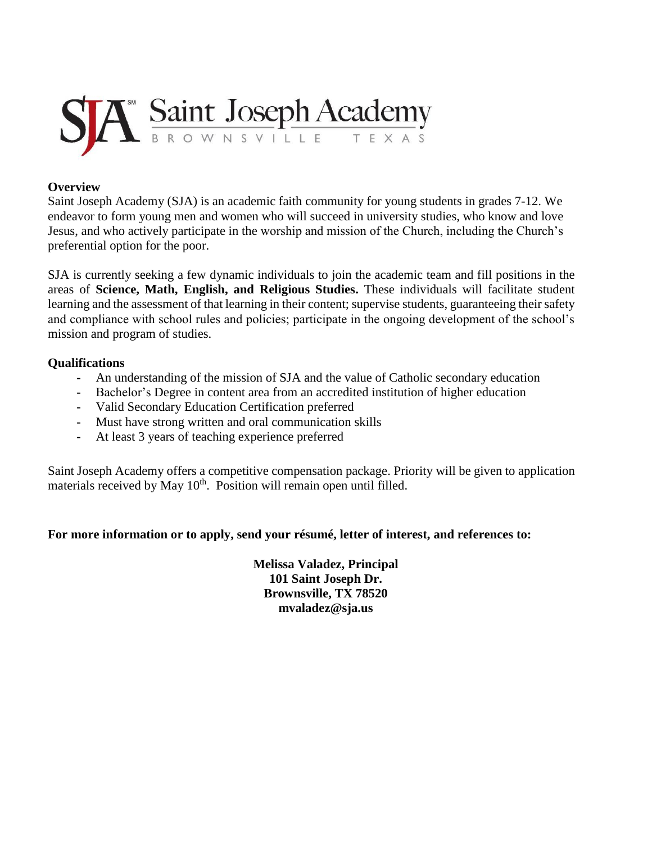

## **Overview**

Saint Joseph Academy (SJA) is an academic faith community for young students in grades 7-12. We endeavor to form young men and women who will succeed in university studies, who know and love Jesus, and who actively participate in the worship and mission of the Church, including the Church's preferential option for the poor.

SJA is currently seeking a few dynamic individuals to join the academic team and fill positions in the areas of **Science, Math, English, and Religious Studies.** These individuals will facilitate student learning and the assessment of that learning in their content; supervise students, guaranteeing their safety and compliance with school rules and policies; participate in the ongoing development of the school's mission and program of studies.

## **Qualifications**

- **-** An understanding of the mission of SJA and the value of Catholic secondary education
- **-** Bachelor's Degree in content area from an accredited institution of higher education
- **-** Valid Secondary Education Certification preferred
- **-** Must have strong written and oral communication skills
- **-** At least 3 years of teaching experience preferred

Saint Joseph Academy offers a competitive compensation package. Priority will be given to application materials received by May 10<sup>th</sup>. Position will remain open until filled.

## **For more information or to apply, send your résumé, letter of interest, and references to:**

**Melissa Valadez, Principal 101 Saint Joseph Dr. Brownsville, TX 78520 mvaladez@sja.us**